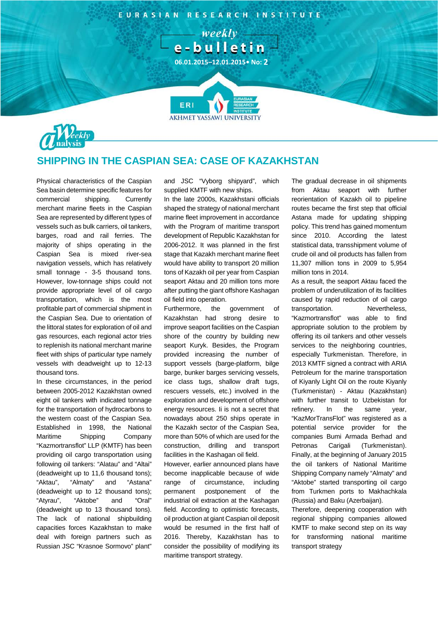

**06.01.2015–12.01.2015• No: 2**

**AKHMET YASSAWI UNIVERSIT** 

 $-$  weekly  $$ e-bulletin



## **SHIPPING IN THE CASPIAN SEA: CASE OF KAZAKHSTAN**

ERI

Physical characteristics of the Caspian Sea basin determine specific features for commercial shipping. Currently merchant marine fleets in the Caspian Sea are represented by different types of vessels such as bulk carriers, oil tankers, barges, road and rail ferries. The majority of ships operating in the Caspian Sea is mixed river-sea navigation vessels, which has relatively small tonnage - 3-5 thousand tons. However, low-tonnage ships could not provide appropriate level of oil cargo transportation, which is the most profitable part of commercial shipment in the Caspian Sea. Due to orientation of the littoral states for exploration of oil and gas resources, each regional actor tries to replenish its national merchant marine fleet with ships of particular type namely vessels with deadweight up to 12-13 thousand tons.

In these circumstances, in the period between 2005-2012 Kazakhstan owned eight oil tankers with indicated tonnage for the transportation of hydrocarbons to the western coast of the Caspian Sea. Established in 1998, the National Maritime Shipping Company "Kazmortransflot" LLP (KMTF) has been providing oil cargo transportation using following oil tankers: "Alatau" and "Altai" (deadweight up to 11,6 thousand tons); "Aktau", "Almaty" and "Astana" (deadweight up to 12 thousand tons); "Atyrau", "Aktobe" and "Oral" (deadweight up to 13 thousand tons). The lack of national shipbuilding capacities forces Kazakhstan to make deal with foreign partners such as Russian JSC "Krasnoe Sormovo" plant"

and JSC "Vyborg shipyard", which supplied KMTF with new ships.

In the late 2000s, Kazakhstani officials shaped the strategy of national merchant marine fleet improvement in accordance with the Program of maritime transport development of Republic Kazakhstan for 2006-2012. It was planned in the first stage that Kazakh merchant marine fleet would have ability to transport 20 million tons of Kazakh oil per year from Caspian seaport Aktau and 20 million tons more after putting the giant offshore Kashagan oil field into operation.

Furthermore, the government of Kazakhstan had strong desire to improve seaport facilities on the Caspian shore of the country by building new seaport Kuryk. Besides, the Program provided increasing the number of support vessels (barge-platform, bilge barge, bunker barges servicing vessels, ice class tugs, shallow draft tugs, rescuers vessels, etc.) involved in the exploration and development of offshore energy resources. Ii is not a secret that nowadays about 250 ships operate in the Kazakh sector of the Caspian Sea, more than 50% of which are used for the construction, drilling and transport facilities in the Kashagan oil field.

However, earlier announced plans have become inapplicable because of wide range of circumstance, including permanent postponement of the industrial oil extraction at the Kashagan field. According to optimistic forecasts, oil production at giant Caspian oil deposit would be resumed in the first half of 2016. Thereby, Kazakhstan has to consider the possibility of modifying its maritime transport strategy.

The gradual decrease in oil shipments from Aktau seaport with further reorientation of Kazakh oil to pipeline routes became the first step that official Astana made for updating shipping policy. This trend has gained momentum since 2010. According the latest statistical data, transshipment volume of crude oil and oil products has fallen from 11,307 million tons in 2009 to 5,954 million tons in 2014.

As a result, the seaport Aktau faced the problem of underutilization of its facilities caused by rapid reduction of oil cargo transportation. Nevertheless, "Kazmortransflot" was able to find appropriate solution to the problem by offering its oil tankers and other vessels services to the neighboring countries, especially Turkmenistan. Therefore, in 2013 KMTF signed a contract with ARIA Petroleum for the marine transportation of Kiyanly Light Oil on the route Kiyanly (Turkmenistan) - Aktau (Kazakhstan) with further transit to Uzbekistan for refinery. In the same year, "KazMorTransFlot" was registered as a potential service provider for the companies Bumi Armada Berhad and Petronas Carigali (Turkmenistan). Finally, at the beginning of January 2015 the oil tankers of National Maritime Shipping Company namely "Almaty" and "Aktobe" started transporting oil cargo from Turkmen ports to Makhachkala (Russia) and Baku (Azerbaijan).

Therefore, deepening cooperation with regional shipping companies allowed KMTF to make second step on its way for transforming national maritime transport strategy